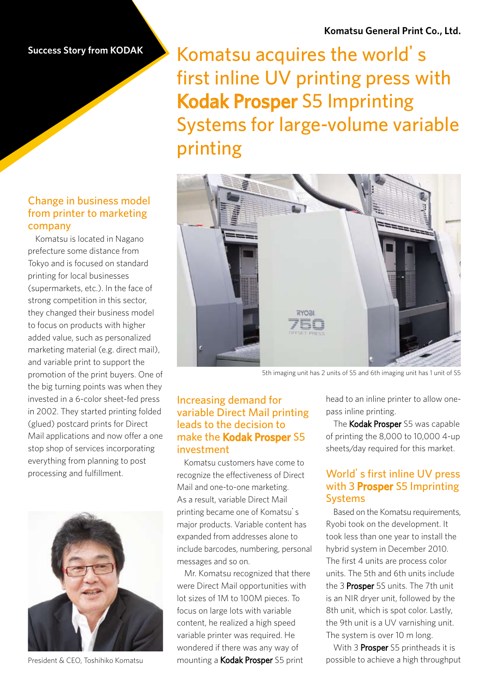# Komatsu acquires the world's first inline UV printing press with Kodak Prosper S5 Imprinting Systems for large-volume variable printing



5th imaging unit has 2 units of S5 and 6th imaging unit has 1 unit of S5

## Increasing demand for variable Direct Mail printing leads to the decision to make the Kodak Prosper S5 investment

Komatsu customers have come to recognize the effectiveness of Direct Mail and one-to-one marketing. As a result, variable Direct Mail printing became one of Komatsu's major products. Variable content has expanded from addresses alone to include barcodes, numbering, personal messages and so on.

Mr. Komatsu recognized that there were Direct Mail opportunities with lot sizes of 1M to 100M pieces. To focus on large lots with variable content, he realized a high speed variable printer was required. He wondered if there was any way of mounting a Kodak Prosper S5 print

head to an inline printer to allow one-<br>pass inline printing.

The Kodak Prosper S5 was capable of printing the  $8,000$  to  $10,000$  4-up sheets/day required for this market.

## World's first inline UV press with 3 Prosper S5 Imprinting Systems

Based on the Komatsu requirements, Ryobi took on the development. It took less than one year to install the hybrid system in December 2010. The first 4 units are process color units. The 5th and 6th units include the 3 Prosper 5S units. The 7th unit is an NIR dryer unit, followed by the 8th unit, which is spot color. Lastly, the 9th unit is a UV varnishing unit. The system is over 10 m long.

With 3 **Prosper** S5 printheads it is possible to achieve a high throughput

## Change in business model from printer to marketing company

Komatsu is located in Nagano prefecture some distance from Tokyo and is focused on standard printing for local businesses (supermarkets, etc.). In the face of strong competition in this sector, they changed their business model to focus on products with higher added value, such as personalized marketing material (e.g. direct mail), and variable print to support the promotion of the print buyers. One of the big turning points was when they invested in a 6-color sheet-fed press in 2002. They started printing folded (glued) postcard prints for Direct Mail applications and now offer a one stop shop of services incorporating everything from planning to post processing and fulfillment.



President & CEO Toshihiko Komatsu